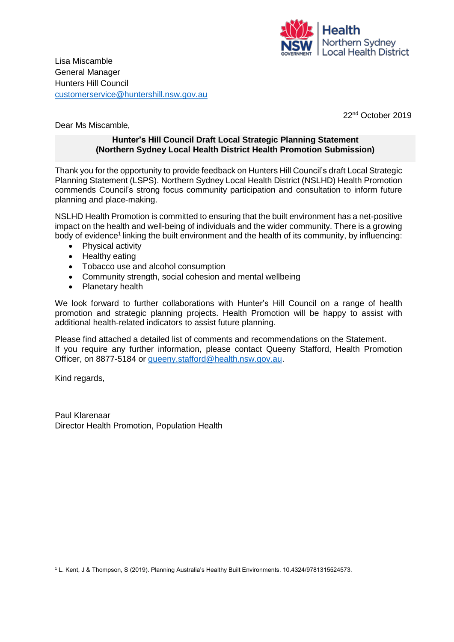

Lisa Miscamble General Manager Hunters Hill Council [customerservice@huntershill.nsw.gov.au](mailto:customerservice@huntershill.nsw.gov.au)

22nd October 2019

Dear Ms Miscamble,

### **Hunter's Hill Council Draft Local Strategic Planning Statement (Northern Sydney Local Health District Health Promotion Submission)**

Thank you for the opportunity to provide feedback on Hunters Hill Council's draft Local Strategic Planning Statement (LSPS). Northern Sydney Local Health District (NSLHD) Health Promotion commends Council's strong focus community participation and consultation to inform future planning and place-making.

NSLHD Health Promotion is committed to ensuring that the built environment has a net‐positive impact on the health and well-being of individuals and the wider community. There is a growing body of evidence<sup>1</sup> linking the built environment and the health of its community, by influencing:

- Physical activity
- Healthy eating
- Tobacco use and alcohol consumption
- Community strength, social cohesion and mental wellbeing
- Planetary health

We look forward to further collaborations with Hunter's Hill Council on a range of health promotion and strategic planning projects. Health Promotion will be happy to assist with additional health-related indicators to assist future planning.

Please find attached a detailed list of comments and recommendations on the Statement. If you require any further information, please contact Queeny Stafford, Health Promotion Officer, on 8877-5184 or [queeny.stafford@health.nsw.gov.au.](mailto:queeny.stafford@health.nsw.gov.au)

Kind regards,

Paul Klarenaar Director Health Promotion, Population Health

<sup>1</sup> L. Kent, J & Thompson, S (2019). Planning Australia's Healthy Built Environments. 10.4324/9781315524573.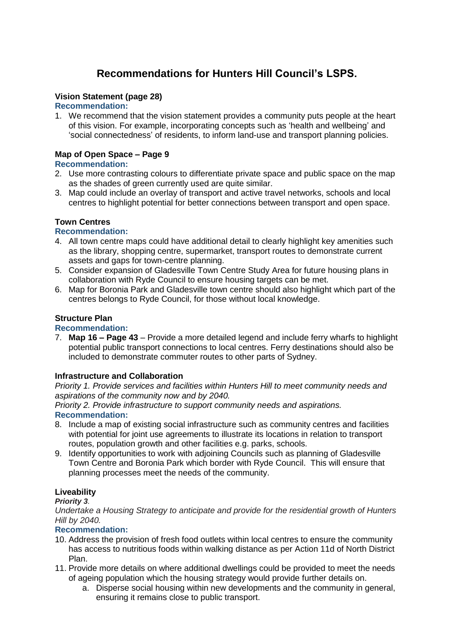# **Recommendations for Hunters Hill Council's LSPS.**

### **Vision Statement (page 28)**

### **Recommendation:**

1. We recommend that the vision statement provides a community puts people at the heart of this vision. For example, incorporating concepts such as 'health and wellbeing' and 'social connectedness' of residents, to inform land-use and transport planning policies.

## **Map of Open Space – Page 9**

### **Recommendation:**

- 2. Use more contrasting colours to differentiate private space and public space on the map as the shades of green currently used are quite similar.
- 3. Map could include an overlay of transport and active travel networks, schools and local centres to highlight potential for better connections between transport and open space.

### **Town Centres**

### **Recommendation:**

- 4. All town centre maps could have additional detail to clearly highlight key amenities such as the library, shopping centre, supermarket, transport routes to demonstrate current assets and gaps for town-centre planning.
- 5. Consider expansion of Gladesville Town Centre Study Area for future housing plans in collaboration with Ryde Council to ensure housing targets can be met.
- 6. Map for Boronia Park and Gladesville town centre should also highlight which part of the centres belongs to Ryde Council, for those without local knowledge.

### **Structure Plan**

### **Recommendation:**

7. **Map 16 – Page 43** – Provide a more detailed legend and include ferry wharfs to highlight potential public transport connections to local centres. Ferry destinations should also be included to demonstrate commuter routes to other parts of Sydney.

### **Infrastructure and Collaboration**

*Priority 1. Provide services and facilities within Hunters Hill to meet community needs and aspirations of the community now and by 2040.* 

*Priority 2. Provide infrastructure to support community needs and aspirations.*  **Recommendation:**

- 8. Include a map of existing social infrastructure such as community centres and facilities with potential for joint use agreements to illustrate its locations in relation to transport routes, population growth and other facilities e.g. parks, schools.
- 9. Identify opportunities to work with adjoining Councils such as planning of Gladesville Town Centre and Boronia Park which border with Ryde Council. This will ensure that planning processes meet the needs of the community.

### **Liveability**

### *Priority 3.*

*Undertake a Housing Strategy to anticipate and provide for the residential growth of Hunters Hill by 2040.*

### **Recommendation:**

- 10. Address the provision of fresh food outlets within local centres to ensure the community has access to nutritious foods within walking distance as per Action 11d of North District Plan.
- 11. Provide more details on where additional dwellings could be provided to meet the needs of ageing population which the housing strategy would provide further details on.
	- a. Disperse social housing within new developments and the community in general, ensuring it remains close to public transport.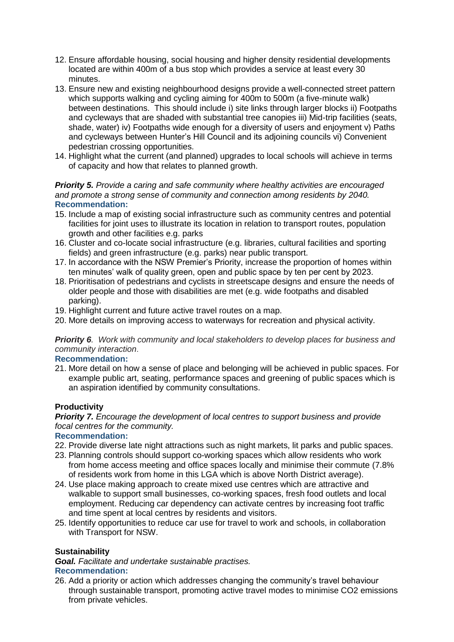- 12. Ensure affordable housing, social housing and higher density residential developments located are within 400m of a bus stop which provides a service at least every 30 minutes.
- 13. Ensure new and existing neighbourhood designs provide a well-connected street pattern which supports walking and cycling aiming for 400m to 500m (a five-minute walk) between destinations. This should include i) site links through larger blocks ii) Footpaths and cycleways that are shaded with substantial tree canopies iii) Mid-trip facilities (seats, shade, water) iv) Footpaths wide enough for a diversity of users and enjoyment v) Paths and cycleways between Hunter's Hill Council and its adjoining councils vi) Convenient pedestrian crossing opportunities.
- 14. Highlight what the current (and planned) upgrades to local schools will achieve in terms of capacity and how that relates to planned growth.

*Priority 5. Provide a caring and safe community where healthy activities are encouraged and promote a strong sense of community and connection among residents by 2040.*  **Recommendation:** 

- 15. Include a map of existing social infrastructure such as community centres and potential facilities for joint uses to illustrate its location in relation to transport routes, population growth and other facilities e.g. parks
- 16. Cluster and co-locate social infrastructure (e.g. libraries, cultural facilities and sporting fields) and green infrastructure (e.g. parks) near public transport.
- 17. In accordance with the NSW Premier's Priority, increase the proportion of homes within ten minutes' walk of quality green, open and public space by ten per cent by 2023.
- 18. Prioritisation of pedestrians and cyclists in streetscape designs and ensure the needs of older people and those with disabilities are met (e.g. wide footpaths and disabled parking).
- 19. Highlight current and future active travel routes on a map.
- 20. More details on improving access to waterways for recreation and physical activity.

*Priority 6. Work with community and local stakeholders to develop places for business and community interaction*.

### **Recommendation:**

21. More detail on how a sense of place and belonging will be achieved in public spaces. For example public art, seating, performance spaces and greening of public spaces which is an aspiration identified by community consultations.

### **Productivity**

*Priority 7. Encourage the development of local centres to support business and provide focal centres for the community.* 

### **Recommendation:**

- 22. Provide diverse late night attractions such as night markets, lit parks and public spaces.
- 23. Planning controls should support co-working spaces which allow residents who work from home access meeting and office spaces locally and minimise their commute (7.8% of residents work from home in this LGA which is above North District average).
- 24. Use place making approach to create mixed use centres which are attractive and walkable to support small businesses, co-working spaces, fresh food outlets and local employment. Reducing car dependency can activate centres by increasing foot traffic and time spent at local centres by residents and visitors.
- 25. Identify opportunities to reduce car use for travel to work and schools, in collaboration with Transport for NSW.

### **Sustainability**

*Goal. Facilitate and undertake sustainable practises.* 

### **Recommendation:**

26. Add a priority or action which addresses changing the community's travel behaviour through sustainable transport, promoting active travel modes to minimise CO2 emissions from private vehicles.